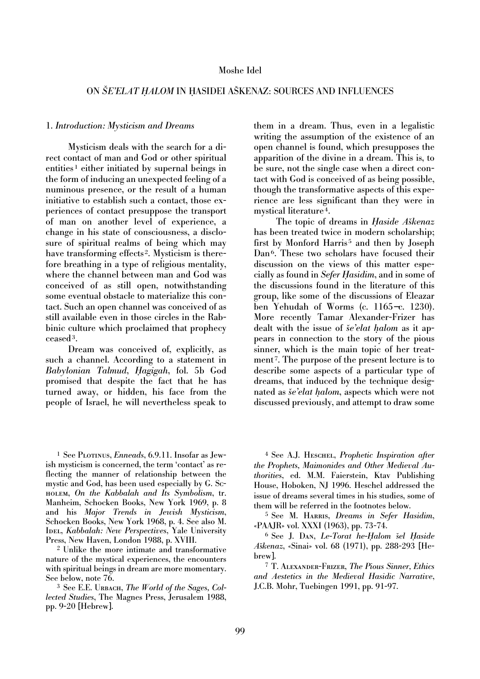#### Moshe Idel

# ON *ŠE'ELAT HALOM* IN HASIDEI AŠKENAZ: SOURCES AND INFLUENCES

#### 1. *Introduction: Mysticism and Dreams*

Mysticism deals with the search for a direct contact of man and God or other spiritual entities<sup>1</sup> either initiated by supernal beings in the form of inducing an unexpected feeling of a numinous presence, or the result of a human initiative to establish such a contact, those experiences of contact presuppose the transport of man on another level of experience, a change in his state of consciousness, a disclosure of spiritual realms of being which may have transforming effects<sup>2</sup>. Mysticism is therefore breathing in a type of religious mentality, where the channel between man and God was conceived of as still open, notwithstanding some eventual obstacle to materialize this contact. Such an open channel was conceived of as still available even in those circles in the Rabbinic culture which proclaimed that prophecy ceased3.

Dream was conceived of, explicitly, as such a channel. According to a statement in *Babylonian Talmud*, *H agigah*, fol. 5b God promised that despite the fact that he has turned away, or hidden, his face from the people of Israel, he will nevertheless speak to

them in a dream. Thus, even in a legalistic writing the assumption of the existence of an open channel is found, which presupposes the apparition of the divine in a dream. This is, to be sure, not the single case when a direct contact with God is conceived of as being possible, though the transformative aspects of this experience are less significant than they were in mystical literature 4.

The topic of dreams in *Haside Aškenaz* has been treated twice in modern scholarship; first by Monford Harris<sup>5</sup> and then by Joseph Dan<sup>6</sup>. These two scholars have focused their discussion on the views of this matter especially as found in *Sefer Hasidim*, and in some of the discussions found in the literature of this group, like some of the discussions of Eleazar ben Yehudah of Worms (c. 1165−c. 1230). More recently Tamar Alexander-Frizer has dealt with the issue of *še'elat halom* as it appears in connection to the story of the pious sinner, which is the main topic of her treatment<sup>7</sup>. The purpose of the present lecture is to describe some aspects of a particular type of dreams, that induced by the technique designated as *sˇe'elat halom*, aspects which were not discussed previously, and attempt to draw some

<sup>1</sup> See Plotinus, *Enneads*, 6.9.11. Insofar as Jewish mysticism is concerned, the term 'contact' as reflecting the manner of relationship between the mystic and God, has been used especially by G. Scholem, *On the Kabbalah and Its Symbolism*, tr. Manheim, Schocken Books, New York 1969, p. 8 and his *Major Trends in Jewish Mysticism*, Schocken Books, New York 1968, p. 4. See also M. IDEL, *Kabbalah: New Perspectives*, Yale University Press, New Haven, London 1988, p. XVIII.

<sup>2</sup> Unlike the more intimate and transformative nature of the mystical experiences, the encounters with spiritual beings in dream are more momentary. See below, note 76.

<sup>3</sup> See E.E. URBACH, *The World of the Sages, Collected Studies*, The Magnes Press, Jerusalem 1988, pp. 9-20 [Hebrew].

<sup>4</sup> See A.J. Heschel, *Prophetic Inspiration after the Prophets, Maimonides and Other Medieval Authorities*, ed. M.M. Faierstein, Ktav Publishing House, Hoboken, NJ 1996. Heschel addressed the issue of dreams several times in his studies, some of them will be referred in the footnotes below.

<sup>5</sup> See M. Harris, *Dreams in Sefer Hasidim*, «PAAJR» vol. XXXI (1963), pp. 73-74.

<sup>6</sup> See J. Dan, *Le-Torat he-Halom šel Haside Aškenaz*, «Sinai» vol. 68 (1971), pp. 288-293 [Hebrew].

<sup>7</sup> T. Alexander-Frizer, *The Pious Sinner, Ethics and Aestetics in the Medieval Hasidic Narrative*, J.C.B. Mohr, Tuebingen 1991, pp. 91-97.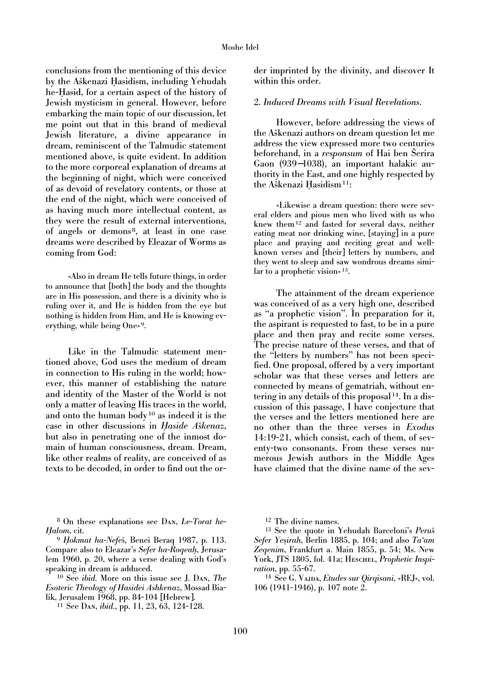conclusions from the mentioning of this device by the Aškenazi Hasidism, including Yehudah he-Hasid, for a certain aspect of the history of Jewish mysticism in general. However, before embarking the main topic of our discussion, let me point out that in this brand of medieval Jewish literature, a divine appearance in dream, reminiscent of the Talmudic statement mentioned above, is quite evident. In addition to the more corporeal explanation of dreams at the beginning of night, which were conceived of as devoid of revelatory contents, or those at the end of the night, which were conceived of as having much more intellectual content, as they were the result of external interventions, of angels or demons 8, at least in one case dreams were described by Eleazar of Worms as coming from God:

«Also in dream He tells future things, in order to announce that [both] the body and the thoughts are in His possession, and there is a divinity who is ruling over it, and He is hidden from the eye but nothing is hidden from Him, and He is knowing everything, while being One» 9.

Like in the Talmudic statement mentioned above, God uses the medium of dream in connection to His ruling in the world; however, this manner of establishing the nature and identity of the Master of the World is not only a matter of leaving His traces in the world, and onto the human body <sup>10</sup> as indeed it is the case in other discussions in *Haside Aškenaz*, but also in penetrating one of the inmost domain of human consciousness, dream. Dream, like other realms of reality, are conceived of as texts to be decoded, in order to find out the or-

<sup>8</sup> On these explanations see Dan, *Le-Torat he-H alom*, cit.

<sup>9</sup> *Hokmat ha-Nefeš*, Benei Beraq 1987, p. 113. Compare also to Eleazar's *Sefer ha-Roqeah*, Jerusalem 1960, p. 20, where a verse dealing with God's speaking in dream is adduced.

<sup>10</sup> See *ibid.* More on this issue see J. Dan, *The Esoteric Theology of Hasidei Ashkenaz*, Mossad Bialik, Jerusalem 1968, pp. 84-104 [Hebrew].

<sup>11</sup> See Dan, *ibid.*, pp. 11, 23, 63, 124-128.

der imprinted by the divinity, and discover It within this order.

# 2. *Induced Dreams with Visual Revelations*.

However, before addressing the views of the Aškenazi authors on dream question let me address the view expressed more two centuries beforehand, in a *responsum* of Hai ben Serira Gaon (939−1038), an important halakic authority in the East, and one highly respected by the Aškenazi Hasidism<sup>11</sup>:

«Likewise a dream question: there were several elders and pious men who lived with us who knew them12 and fasted for several days, neither eating meat nor drinking wine, [staying] in a pure place and praying and reciting great and wellknown verses and [their] letters by numbers, and they went to sleep and saw wondrous dreams similar to a prophetic vision» 13.

The attainment of the dream experience was conceived of as a very high one, described as "a prophetic vision". In preparation for it, the aspirant is requested to fast, to be in a pure place and then pray and recite some verses. The precise nature of these verses, and that of the "letters by numbers" has not been specified. One proposal, offered by a very important scholar was that these verses and letters are connected by means of gematriah, without entering in any details of this proposal 14. In a discussion of this passage, I have conjecture that the verses and the letters mentioned here are no other than the three verses in *Exodus* 14:19-21, which consist, each of them, of seventy-two consonants. From these verses numerous Jewish authors in the Middle Ages have claimed that the divine name of the sev-

<sup>12</sup> The divine names.

<sup>13</sup> See the quote in Yehudah Barceloni's Peruš *Sefer Yesirah*, Berlin 1885, p. 104; and also *Ta'am Zeqenim*, Frankfurt a. Main 1855, p. 54; Ms. New York, JTS 1805, fol. 41a; HESCHEL, *Prophetic Inspiration*, pp. 55-67.

<sup>14</sup> See G. Vajda, *Etudes sur Qirqisani*, «REJ», vol. 106 (1941-1946), p. 107 note 2.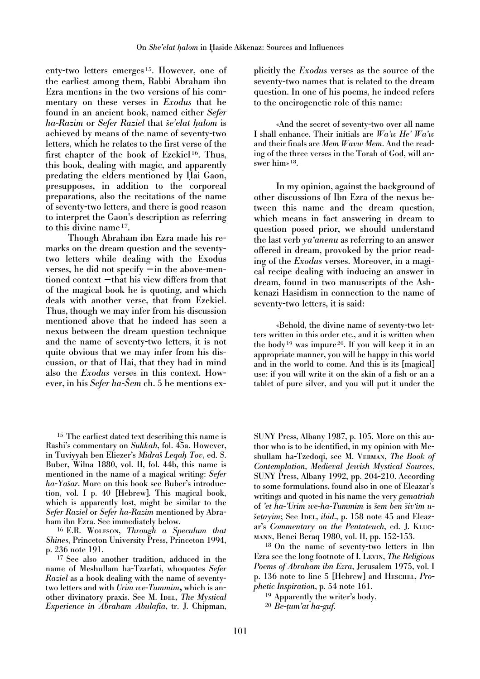enty-two letters emerges 15. However, one of the earliest among them, Rabbi Abraham ibn Ezra mentions in the two versions of his commentary on these verses in *Exodus* that he found in an ancient book, named either *Sefer ha-Razim* or *Sefer Raziel* that *sˇe'elat halom* is achieved by means of the name of seventy-two letters, which he relates to the first verse of the first chapter of the book of Ezekiel<sup>16</sup>. Thus, this book, dealing with magic, and apparently predating the elders mentioned by Hai Gaon, presupposes, in addition to the corporeal preparations, also the recitations of the name of seventy-two letters, and there is good reason to interpret the Gaon's description as referring to this divine name 17.

Though Abraham ibn Ezra made his remarks on the dream question and the seventytwo letters while dealing with the Exodus verses, he did not specify − in the above-mentioned context − that his view differs from that of the magical book he is quoting, and which deals with another verse, that from Ezekiel. Thus, though we may infer from his discussion mentioned above that he indeed has seen a nexus between the dream question technique and the name of seventy-two letters, it is not quite obvious that we may infer from his discussion, or that of Hai, that they had in mind also the *Exodus* verses in this context. However, in his *Sefer ha-Sem* ch. 5 he mentions ex-

<sup>15</sup> The earliest dated text describing this name is Rashi's commentary on *Sukkah*, fol. 45a. However, in Tuviyyah ben Eliezer's *Midraš* Leqah Tov, ed. S. Buber, Wilna 1880, vol. II, fol. 44b, this name is mentioned in the name of a magical writing: *Sefer ha-Yašar*. More on this book see Buber's introduction, vol. I p. 40 [Hebrew]. This magical book, which is apparently lost, might be similar to the *Sefer Raziel* or *Sefer ha-Razim* mentioned by Abraham ibn Ezra. See immediately below.

<sup>16</sup> E.R. Wolfson, *Through a Speculum that Shines*, Princeton University Press, Princeton 1994, p. 236 note 191.

<sup>17</sup> See also another tradition, adduced in the name of Meshullam ha-Tzarfati, whoquotes *Sefer Raziel* as a book dealing with the name of seventytwo letters and with *Urim we-Tummim***,** which is another divinatory praxis. See M. IDEL, *The Mystical Experience in Abraham Abulafia*, tr. J. Chipman, plicitly the *Exodus* verses as the source of the seventy-two names that is related to the dream question. In one of his poems, he indeed refers to the oneirogenetic role of this name:

«And the secret of seventy-two over all name I shall enhance. Their initials are *Wa'w He' Wa'w* and their finals are *Mem Wavw Mem*. And the reading of the three verses in the Torah of God, will answer him» 18.

In my opinion, against the background of other discussions of Ibn Ezra of the nexus between this name and the dream question, which means in fact answering in dream to question posed prior, we should understand the last verb *ya'anenu* as referring to an answer offered in dream, provoked by the prior reading of the *Exodus* verses. Moreover, in a magical recipe dealing with inducing an answer in dream, found in two manuscripts of the Ashkenazi Hasidism in connection to the name of seventy-two letters, it is said:

«Behold, the divine name of seventy-two letters written in this order etc., and it is written when the body <sup>19</sup> was impure 20. If you will keep it in an appropriate manner, you will be happy in this world and in the world to come. And this is its [magical] use: if you will write it on the skin of a fish or an a tablet of pure silver, and you will put it under the

SUNY Press, Albany 1987, p. 105. More on this author who is to be identified, in my opinion with Meshullam ha-Tzedoqi, see M. Verman, *The Book of Contemplation, Medieval Jewish Mystical Sources*, SUNY Press, Albany 1992, pp. 204-210. According to some formulations, found also in one of Eleazar's writings and quoted in his name the very *gematriah* of 'et ha-'Urim we-ha-Tummim is šem ben šiv'im u*šetayim*; See IDEL, *ibid.*, p. 158 note 45 and Eleazar's *Commentary on the Pentateuch*, ed. J. Klugmann, Benei Beraq 1980, vol. II, pp. 152-153.

<sup>18</sup> On the name of seventy-two letters in Ibn Ezra see the long footnote of I. Levin, *The Religious Poems of Abraham ibn Ezra*, Jerusalem 1975, vol. I p. 136 note to line 5 [Hebrew] and HESCHEL, *Prophetic Inspiration*, p. 54 note 161.

<sup>19</sup> Apparently the writer's body.

<sup>20</sup> *Be-tum'at ha-guf*.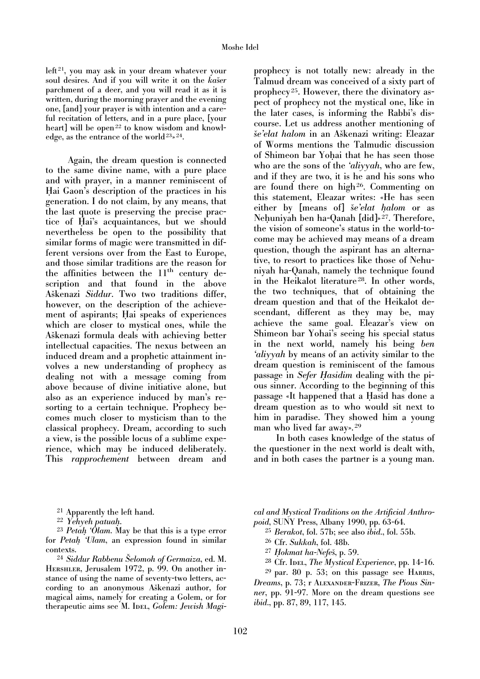$left<sup>21</sup>$ , you may ask in your dream whatever your soul desires. And if you will write it on the *kaser* parchment of a deer, and you will read it as it is written, during the morning prayer and the evening one, [and] your prayer is with intention and a careful recitation of letters, and in a pure place, [your heart] will be open<sup>22</sup> to know wisdom and knowledge, as the entrance of the world<sup>23</sup><sup>24</sup>.

Again, the dream question is connected to the same divine name, with a pure place and with prayer, in a manner reminiscent of Hai Gaon's description of the practices in his generation. I do not claim, by any means, that the last quote is preserving the precise practice of Hai's acquaintances, but we should nevertheless be open to the possibility that similar forms of magic were transmitted in different versions over from the East to Europe, and those similar traditions are the reason for the affinities between the  $11<sup>th</sup>$  century description and that found in the above Aškenazi Siddur. Two two traditions differ, however, on the description of the achievement of aspirants; Hai speaks of experiences which are closer to mystical ones, while the Aškenazi formula deals with achieving better intellectual capacities. The nexus between an induced dream and a prophetic attainment involves a new understanding of prophecy as dealing not with a message coming from above because of divine initiative alone, but also as an experience induced by man's resorting to a certain technique. Prophecy becomes much closer to mysticism than to the classical prophecy. Dream, according to such a view, is the possible locus of a sublime experience, which may be induced deliberately. This *rapprochement* between dream and

prophecy is not totally new: already in the Talmud dream was conceived of a sixty part of prophecy 25. However, there the divinatory aspect of prophecy not the mystical one, like in the later cases, is informing the Rabbi's discourse. Let us address another mentioning of *sˇe'elat halom* in an Asˇkenazi writing: Eleazar of Worms mentions the Talmudic discussion of Shimeon bar Yohai that he has seen those who are the sons of the *'aliyyah*, who are few, and if they are two, it is he and his sons who are found there on high<sup>26</sup>. Commenting on this statement, Eleazar writes: «He has seen either by [means of] *še'elat halom* or as Nehuniyah ben ha-Qanah [did]» 27. Therefore, the vision of someone's status in the world-tocome may be achieved may means of a dream question, though the aspirant has an alternative, to resort to practices like those of Nehuniyah ha-Qanah, namely the technique found in the Heikalot literature<sup>28</sup>. In other words, the two techniques, that of obtaining the dream question and that of the Heikalot descendant, different as they may be, may achieve the same goal. Eleazar's view on Shimeon bar Yohai's seeing his special status in the next world, namely his being *ben 'aliyyah* by means of an activity similar to the dream question is reminiscent of the famous passage in *Sefer Hasidim* dealing with the pious sinner. According to the beginning of this passage «It happened that a Hasid has done a dream question as to who would sit next to him in paradise. They showed him a young man who lived far away». <sup>29</sup>

In both cases knowledge of the status of the questioner in the next world is dealt with, and in both cases the partner is a young man.

- <sup>21</sup> Apparently the left hand.<br><sup>22</sup> Yehyeh patuah.
- 

<sup>23</sup> *Petah 'Olam*. May be that this is a type error for *Petah 'Ulam*, an expression found in similar contexts.

<sup>24</sup> Siddur Rabbenu Šelomoh of Germaiza, ed. M. HERSHLER, Jerusalem 1972, p. 99. On another instance of using the name of seventy-two letters, according to an anonymous Aškenazi author, for magical aims, namely for creating a Golem, or for therapeutic aims see M. IDEL, *Golem: Jewish Magi-*

*cal and Mystical Traditions on the Artificial Anthropoid*, SUNY Press, Albany 1990, pp. 63-64.

- <sup>25</sup> *Berakot*, fol. 57b; see also *ibid.*, fol. 55b.
- <sup>26</sup> Cfr. *Sukkah*, fol. 48b.
- <sup>27</sup> *Hokmat ha-Nefeš*, p. 59.
- <sup>28</sup> Cfr. Idel, *The Mystical Experience*, pp. 14-16.

 $29$  par. 80 p. 53; on this passage see HARRIS, *Dreams*, p. 73; r Alexander-Frizer, *The Pious Sinner*, pp. 91-97. More on the dream questions see *ibid.*, pp. 87, 89, 117, 145.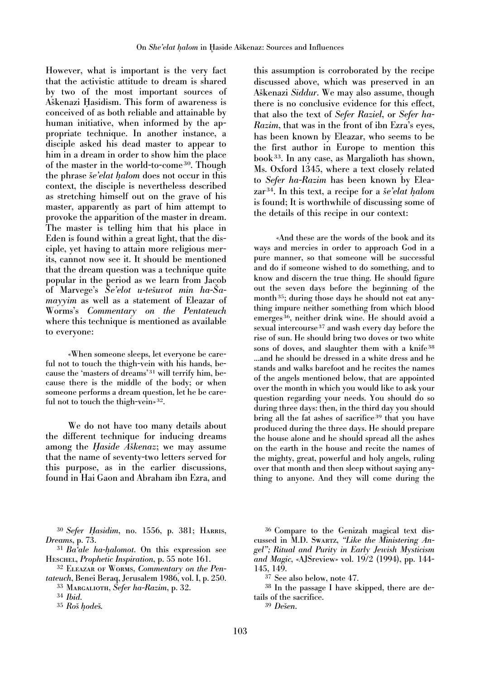However, what is important is the very fact that the activistic attitude to dream is shared by two of the most important sources of Aškenazi Hasidism. This form of awareness is conceived of as both reliable and attainable by human initiative, when informed by the appropriate technique. In another instance, a disciple asked his dead master to appear to him in a dream in order to show him the place of the master in the world-to-come 30. Though the phrase *sˇe'elat halom* does not occur in this context, the disciple is nevertheless described as stretching himself out on the grave of his master, apparently as part of him attempt to provoke the apparition of the master in dream. The master is telling him that his place in Eden is found within a great light, that the disciple, yet having to attain more religious merits, cannot now see it. It should be mentioned that the dream question was a technique quite popular in the period as we learn from Jacob of Marvege's  $\tilde{S}e'elot u-tešuvot min ha-Sa$ *mayyim* as well as a statement of Eleazar of Worms's *Commentary on the Pentateuch* where this technique is mentioned as available to everyone:

«When someone sleeps, let everyone be careful not to touch the thigh-vein with his hands, because the 'masters of dreams'<sup>31</sup> will terrify him, because there is the middle of the body; or when someone performs a dream question, let he be careful not to touch the thigh-vein» 32.

We do not have too many details about the different technique for inducing dreams among the *Haside Aškenaz*; we may assume that the name of seventy-two letters served for this purpose, as in the earlier discussions, found in Hai Gaon and Abraham ibn Ezra, and

<sup>30</sup> *Sefer H asidim*, no. 1556, p. 381; Harris, *Dreams*, p. 73.

<sup>31</sup> *Ba'ale ha-halomot*. On this expression see Heschel, *Prophetic Inspiration*, p. 55 note 161.

<sup>32</sup> Eleazar of Worms, *Commentary on the Pentateuch*, Benei Beraq, Jerusalem 1986, vol. I, p. 250.

<sup>33</sup> Margalioth, *Sefer ha-Razim*, p. 32.

this assumption is corroborated by the recipe discussed above, which was preserved in an Aškenazi *Siddur*. We may also assume, though there is no conclusive evidence for this effect, that also the text of *Sefer Raziel*, or *Sefer ha-Razim*, that was in the front of ibn Ezra's eyes, has been known by Eleazar, who seems to be the first author in Europe to mention this book33. In any case, as Margalioth has shown, Ms. Oxford 1345, where a text closely related to *Sefer ha-Razim* has been known by Eleazar<sup>34</sup>. In this text, a recipe for a *se'elat halom* is found; It is worthwhile of discussing some of the details of this recipe in our context:

«And these are the words of the book and its ways and mercies in order to approach God in a pure manner, so that someone will be successful and do if someone wished to do something, and to know and discern the true thing. He should figure out the seven days before the beginning of the month<sup>35</sup>; during those days he should not eat anything impure neither something from which blood emerges 36, neither drink wine. He should avoid a sexual intercourse <sup>37</sup> and wash every day before the rise of sun. He should bring two doves or two white sons of doves, and slaughter them with a knife<sup>38</sup> ...and he should be dressed in a white dress and he stands and walks barefoot and he recites the names of the angels mentioned below, that are appointed over the month in which you would like to ask your question regarding your needs. You should do so during three days: then, in the third day you should bring all the fat ashes of sacrifice <sup>39</sup> that you have produced during the three days. He should prepare the house alone and he should spread all the ashes on the earth in the house and recite the names of the mighty, great, powerful and holy angels, ruling over that month and then sleep without saying anything to anyone. And they will come during the

<sup>36</sup> Compare to the Genizah magical text discussed in M.D. Swartz, *"Like the Ministering Angel"; Ritual and Purity in Early Jewish Mysticism and Magic*, «AJSreview» vol. 19/2 (1994), pp. 144- 145, 149.

<sup>37</sup> See also below, note 47.

<sup>38</sup> In the passage I have skipped, there are details of the sacrifice.

<sup>39</sup> *Dešen.* 

<sup>34</sup> *Ibid*.

<sup>35</sup> *Rosˇ hodesˇ.*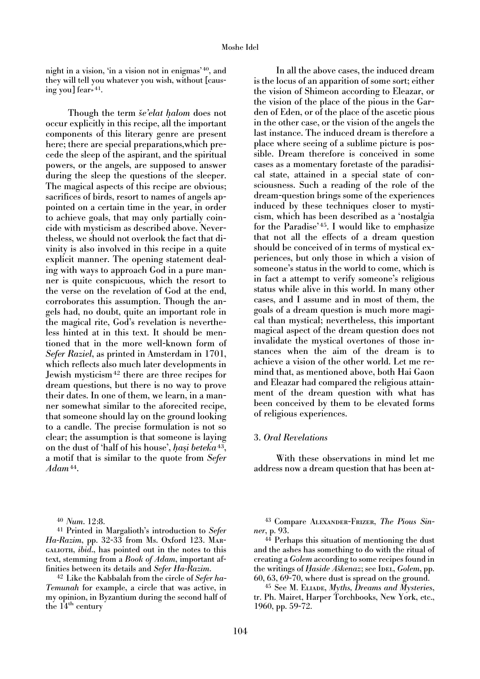night in a vision, 'in a vision not in enigmas' 40, and they will tell you whatever you wish, without [causing you] fear» 41.

Though the term *se'elat halom* does not occur explicitly in this recipe, all the important components of this literary genre are present here; there are special preparations,which precede the sleep of the aspirant, and the spiritual powers, or the angels, are supposed to answer during the sleep the questions of the sleeper. The magical aspects of this recipe are obvious; sacrifices of birds, resort to names of angels appointed on a certain time in the year, in order to achieve goals, that may only partially coincide with mysticism as described above. Nevertheless, we should not overlook the fact that divinity is also involved in this recipe in a quite explicit manner. The opening statement dealing with ways to approach God in a pure manner is quite conspicuous, which the resort to the verse on the revelation of God at the end, corroborates this assumption. Though the angels had, no doubt, quite an important role in the magical rite, God's revelation is nevertheless hinted at in this text. It should be mentioned that in the more well-known form of *Sefer Raziel*, as printed in Amsterdam in 1701, which reflects also much later developments in Jewish mysticism42 there are three recipes for dream questions, but there is no way to prove their dates. In one of them, we learn, in a manner somewhat similar to the aforecited recipe, that someone should lay on the ground looking to a candle. The precise formulation is not so clear; the assumption is that someone is laying on the dust of 'half of his house', *hasi beteka*43, a motif that is similar to the quote from *Sefer Adam*44.

<sup>40</sup> *Num*. 12:8.

<sup>41</sup> Printed in Margalioth's introduction to *Sefer Ha-Razim*, pp. 32-33 from Ms. Oxford 123. Margalioth, *ibid*., has pointed out in the notes to this text, stemming from a *Book of Adam*, important affinities between its details and *Sefer Ha-Razim*.

<sup>42</sup> Like the Kabbalah from the circle of *Sefer ha-Temunah* for example, a circle that was active, in my opinion, in Byzantium during the second half of the  $14<sup>th</sup>$  century

In all the above cases, the induced dream is the locus of an apparition of some sort; either the vision of Shimeon according to Eleazar, or the vision of the place of the pious in the Garden of Eden, or of the place of the ascetic pious in the other case, or the vision of the angels the last instance. The induced dream is therefore a place where seeing of a sublime picture is possible. Dream therefore is conceived in some cases as a momentary foretaste of the paradisical state, attained in a special state of consciousness. Such a reading of the role of the dream-question brings some of the experiences induced by these techniques closer to mysticism, which has been described as a 'nostalgia for the Paradise'<sup>45</sup>. I would like to emphasize that not all the effects of a dream question should be conceived of in terms of mystical experiences, but only those in which a vision of someone's status in the world to come, which is in fact a attempt to verify someone's religious status while alive in this world. In many other cases, and I assume and in most of them, the goals of a dream question is much more magical than mystical; nevertheless, this important magical aspect of the dream question does not invalidate the mystical overtones of those instances when the aim of the dream is to achieve a vision of the other world. Let me remind that, as mentioned above, both Hai Gaon and Eleazar had compared the religious attainment of the dream question with what has been conceived by them to be elevated forms of religious experiences.

### 3. *Oral Revelations*

With these observations in mind let me address now a dream question that has been at-

<sup>43</sup> Compare Alexander-Frizer, *The Pious Sinner*, p. 93.

<sup>44</sup> Perhaps this situation of mentioning the dust and the ashes has something to do with the ritual of creating a *Golem* according to some recipes found in the writings of *Haside Aškenaz*; see IDEL, *Golem*, pp. 60, 63, 69-70, where dust is spread on the ground.

<sup>45</sup> See M. Eliade, *Myths, Dreams and Mysteries*, tr. Ph. Mairet, Harper Torchbooks, New York, etc., 1960, pp. 59-72.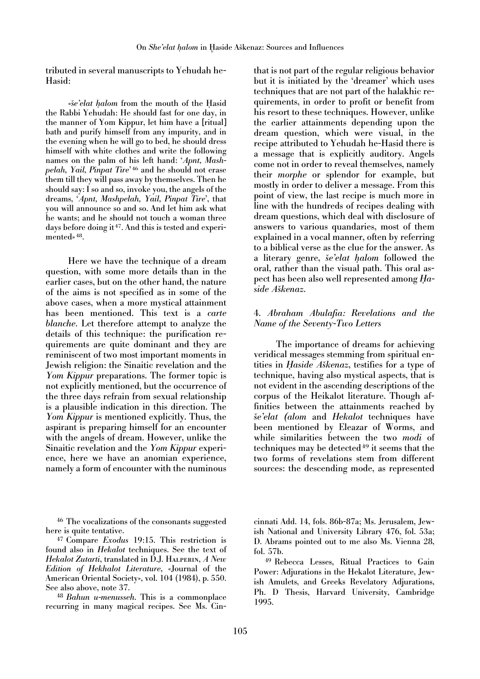tributed in several manuscripts to Yehudah he-Hasid:

«*se'elat halom* from the mouth of the Hasid the Rabbi Yehudah: He should fast for one day, in the manner of Yom Kippur, let him have a [ritual] bath and purify himself from any impurity, and in the evening when he will go to bed, he should dress himself with white clothes and write the following names on the palm of his left hand: '*Apnt, Mashpelah, Yail, Pinpat Tire*' <sup>46</sup> and he should not erase them till they will pass away by themselves. Then he should say: I so and so, invoke you, the angels of the dreams, '*Apnt, Mashpelah, Yail, Pinpat Tire*', that you will announce so and so. And let him ask what he wants; and he should not touch a woman three days before doing it 47. And this is tested and experimented» 48.

Here we have the technique of a dream question, with some more details than in the earlier cases, but on the other hand, the nature of the aims is not specified as in some of the above cases, when a more mystical attainment has been mentioned. This text is a *carte blanche*. Let therefore attempt to analyze the details of this technique: the purification requirements are quite dominant and they are reminiscent of two most important moments in Jewish religion: the Sinaitic revelation and the *Yom Kippur* preparations. The former topic is not explicitly mentioned, but the occurrence of the three days refrain from sexual relationship is a plausible indication in this direction. The *Yom Kippur* is mentioned explicitly. Thus, the aspirant is preparing himself for an encounter with the angels of dream. However, unlike the Sinaitic revelation and the *Yom Kippur* experience, here we have an anomian experience, namely a form of encounter with the numinous

<sup>46</sup> The vocalizations of the consonants suggested here is quite tentative.

<sup>47</sup> Compare *Exodus* 19:15. This restriction is found also in *Hekalot* techniques. See the text of *Hekalot Zutarti*, translated in D.J. Halperin, *A New Edition of Hekhalot Literature*, «Journal of the American Oriental Society», vol. 104 (1984), p. 550. See also above, note 37.

<sup>48</sup> *Bahun u-menusseh*. This is a commonplace recurring in many magical recipes. See Ms. Cin-

that is not part of the regular religious behavior but it is initiated by the 'dreamer' which uses techniques that are not part of the halakhic requirements, in order to profit or benefit from his resort to these techniques. However, unlike the earlier attainments depending upon the dream question, which were visual, in the recipe attributed to Yehudah he-Hasid there is a message that is explicitly auditory. Angels come not in order to reveal themselves, namely their *morphe* or splendor for example, but mostly in order to deliver a message. From this point of view, the last recipe is much more in line with the hundreds of recipes dealing with dream questions, which deal with disclosure of answers to various quandaries, most of them explained in a vocal manner, often by referring to a biblical verse as the clue for the answer. As a literary genre, *še'elat halom* followed the oral, rather than the visual path. This oral aspect has been also well represented among *Haside Asˇkenaz*.

# 4. *Abraham Abulafia: Revelations and the Name of the Seventy-Two Letters*

The importance of dreams for achieving veridical messages stemming from spiritual entities in *Haside Aškenaz*, testifies for a type of technique, having also mystical aspects, that is not evident in the ascending descriptions of the corpus of the Heikalot literature. Though affinities between the attainments reached by *sˇe'elat (alom* and *Hekalot* techniques have been mentioned by Eleazar of Worms, and while similarities between the two *modi* of techniques may be detected  $49$  it seems that the two forms of revelations stem from different sources: the descending mode, as represented

cinnati Add. 14, fols. 86b-87a; Ms. Jerusalem, Jewish National and University Library 476, fol. 53a; D. Abrams pointed out to me also Ms. Vienna 28, fol. 57b.

<sup>49</sup> Rebecca Lesses, Ritual Practices to Gain Power: Adjurations in the Hekalot Literature, Jewish Amulets, and Greeks Revelatory Adjurations, Ph. D Thesis, Harvard University, Cambridge 1995.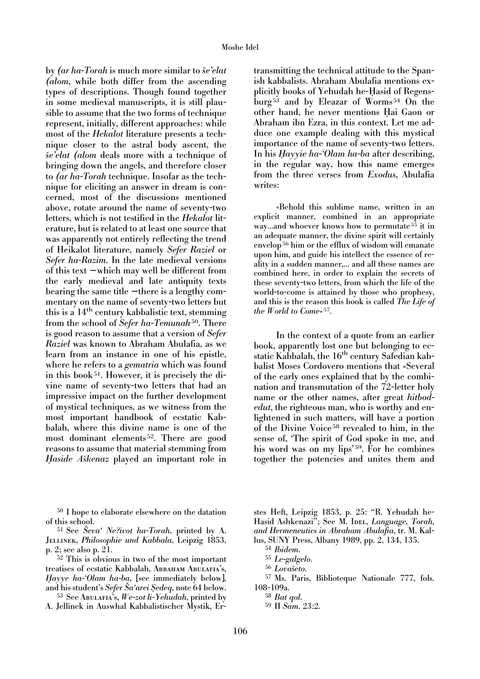by *(ar ha-Torah* is much more similar to *sˇe'elat (alom*, while both differ from the ascending types of descriptions. Though found together in some medieval manuscripts, it is still plausible to assume that the two forms of technique represent, initially, different approaches: while most of the *Hekalot* literature presents a technique closer to the astral body ascent, the *sˇe'elat (alom* deals more with a technique of bringing down the angels, and therefore closer to *(ar ha-Torah* technique. Insofar as the technique for eliciting an answer in dream is concerned, most of the discussions mentioned above, rotate around the name of seventy-two letters, which is not testified in the *Hekalot* literature, but is related to at least one source that was apparently not entirely reflecting the trend of Heikalot literature, namely *Sefer Raziel* or *Sefer ha-Razim*. In the late medieval versions of this text − which may well be different from the early medieval and late antiquity texts bearing the same title − there is a lengthy commentary on the name of seventy-two letters but this is a 14th century kabbalistic text, stemming from the school of *Sefer ha-Temunah*50. There is good reason to assume that a version of *Sefer Raziel* was known to Abraham Abulafia, as we learn from an instance in one of his epistle, where he refers to a *gematria* which was found in this book<sup>51</sup>. However, it is precisely the divine name of seventy-two letters that had an impressive impact on the further development of mystical techniques, as we witness from the most important handbook of ecstatic Kabbalah, where this divine name is one of the most dominant elements 52. There are good reasons to assume that material stemming from *Haside Askenaz* played an important role in

<sup>50</sup> I hope to elaborate elsewhere on the datation of this school.

<sup>51</sup> See *Seva Ne?ivot ha-Torah*, printed by A. Jellinek, *Philosophie und Kabbala*, Leipzig 1853, p. 2; see also p. 21.

<sup>52</sup> This is obvious in two of the most important treatises of ecstatic Kabbalah, ABRAHAM ABULAFIA's, *H ayye ha-'Olam ha-ba*, [see immediately below], and his student's *Sefer Ša'arei Sedeq*, note 64 below.

<sup>53</sup> See Abulafia's, *We-zot li-Yehudah*, printed by A. Jellinek in Auswhal Kabbalistischer Mystik, Ertransmitting the technical attitude to the Spanish kabbalists. Abraham Abulafia mentions explicitly books of Yehudah he-Hasid of Regensburg <sup>53</sup> and by Eleazar of Worms <sup>54</sup> On the other hand, he never mentions Hai Gaon or Abraham ibn Ezra, in this context. Let me adduce one example dealing with this mystical importance of the name of seventy-two letters. In his *H ayyie ha-'Olam ha-ba* after describing, in the regular way, how this name emerges from the three verses from *Exodus*, Abulafia writes:

«Behold this sublime name, written in an explicit manner, combined in an appropriate way...and whoever knows how to permutate <sup>55</sup> it in an adequate manner, the divine spirit will certainly envelop<sup>56</sup> him or the efflux of wisdom will emanate upon him, and guide his intellect the essence of reality in a sudden manner,... and all these names are combined here, in order to explain the secrets of these seventy-two letters, from which the life of the world-to-come is attained by those who prophesy, and this is the reason this book is called *The Life of the World to Come*» 57.

In the context of a quote from an earlier book, apparently lost one but belonging to ecstatic Kabbalah, the 16<sup>th</sup> century Safedian kabbalist Moses Cordovero mentions that «Several of the early ones explained that by the combination and transmutation of the 72-letter holy name or the other names, after great *hitbodedut*, the righteous man, who is worthy and enlightened in such matters, will have a portion of the Divine Voice <sup>58</sup> revealed to him, in the sense of, 'The spirit of God spoke in me, and his word was on my lips' $59$ . For he combines together the potencies and unites them and

stes Heft, Leipzig 1853, p. 25: "R. Yehudah he-Hasid Ashkenazi<sup>5</sup>; See M. IDEL, *Language*, *Torah*, *and Hermeneutics in Abraham Abulafia*, tr. M. Kallus, SUNY Press, Albany 1989, pp. 2, 134, 135.

- <sup>54</sup> *Ibidem*.
- <sup>55</sup> *Le-galgelo*.
- $56$  *Lovašeto*.
- <sup>57</sup> Ms. Paris, Biblioteque Nationale 777, fols. 108-109a.
	- <sup>58</sup> *Bat qol.*
	- <sup>59</sup> II *Sam*. 23:2.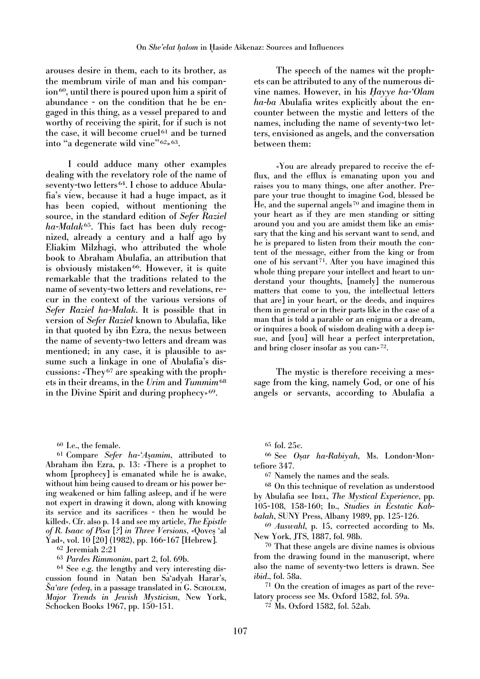arouses desire in them, each to its brother, as the membrum virile of man and his companion<sup>60</sup>, until there is poured upon him a spirit of abundance - on the condition that he be engaged in this thing, as a vessel prepared to and worthy of receiving the spirit, for if such is not the case, it will become cruel<sup>61</sup> and be turned into "a degenerate wild vine" 62» 63.

I could adduce many other examples dealing with the revelatory role of the name of seventy-two letters 64. I chose to adduce Abulafia's view, because it had a huge impact, as it has been copied, without mentioning the source, in the standard edition of *Sefer Raziel ha-Malak* 65. This fact has been duly recognized, already a century and a half ago by Eliakim Milzhagi, who attributed the whole book to Abraham Abulafia, an attribution that is obviously mistaken<sup>66</sup>. However, it is quite remarkable that the traditions related to the name of seventy-two letters and revelations, recur in the context of the various versions of *Sefer Raziel ha-Malak*. It is possible that in version of *Sefer Raziel* known to Abulafia, like in that quoted by ibn Ezra, the nexus between the name of seventy-two letters and dream was mentioned; in any case, it is plausible to assume such a linkage in one of Abulafia's discussions: «They <sup>67</sup> are speaking with the prophets in their dreams, in the *Urim* and *Tummim*<sup>68</sup> in the Divine Spirit and during prophecy» 69.

<sup>60</sup> I.e., the female.

<sup>61</sup> Compare *Sefer ha-'Asamim*, attributed to Abraham ibn Ezra, p. 13: «There is a prophet to whom [prophecy] is emanated while he is awake, without him being caused to dream or his power being weakened or him falling asleep, and if he were not expert in drawing it down, along with knowing its service and its sacrifices - then he would be killed». Cfr. also p. 14 and see my article, *The Epistle of R. Isaac of Pisa* [*?*] *in Three Versions*, «Qoves 'al Yad», vol. 10 [20] (1982), pp. 166-167 [Hebrew].

<sup>62</sup> Jeremiah 2:21

<sup>63</sup> *Pardes Rimmonim*, part 2, fol. 69b.

<sup>64</sup> See e.g. the lengthy and very interesting discussion found in Natan ben Sa'adyah Harar's, *Sa'are (edeq,* in a passage translated in G. Scholem, *Major Trends in Jewish Mysticism*, New York, Schocken Books 1967, pp. 150-151.

The speech of the names wit the prophets can be attributed to any of the numerous divine names. However, in his *H ayye ha-'Olam ha-ba* Abulafia writes explicitly about the encounter between the mystic and letters of the names, including the name of seventy-two letters, envisioned as angels, and the conversation between them:

«You are already prepared to receive the efflux, and the efflux is emanating upon you and raises you to many things, one after another. Prepare your true thought to imagine God, blessed be He, and the supernal angels <sup>70</sup> and imagine them in your heart as if they are men standing or sitting around you and you are amidst them like an emissary that the king and his servant want to send, and he is prepared to listen from their mouth the content of the message, either from the king or from one of his servant<sup>71</sup>. After you have imagined this whole thing prepare your intellect and heart to understand your thoughts, [namely] the numerous matters that come to you, the intellectual letters that are] in your heart, or the deeds, and inquires them in general or in their parts like in the case of a man that is told a parable or an enigma or a dream, or inquires a book of wisdom dealing with a deep issue, and [you] will hear a perfect interpretation, and bring closer insofar as you can» 72.

The mystic is therefore receiving a message from the king, namely God, or one of his angels or servants, according to Abulafia a

<sup>65</sup> fol. 25c.

<sup>66</sup> See *Osar ha-Rabiyah*, Ms. London-Montefiore 347.

<sup>67</sup> Namely the names and the seals.

<sup>68</sup> On this technique of revelation as understood by Abulafia see IDEL, *The Mystical Experience*, pp. 105-108, 158-160; Ip., *Studies in Ecstatic Kabbalah*, SUNY Press, Albany 1989, pp. 125-126.

<sup>69</sup> *Auswahl*, p. 15, corrected according to Ms. New York, JTS, 1887, fol. 98b.

<sup>70</sup> That these angels are divine names is obvious from the drawing found in the manuscript, where also the name of seventy-two letters is drawn. See *ibid*., fol. 58a.

<sup>71</sup> On the creation of images as part of the revelatory process see Ms. Oxford 1582, fol. 59a.

<sup>72</sup> Ms. Oxford 1582, fol. 52ab.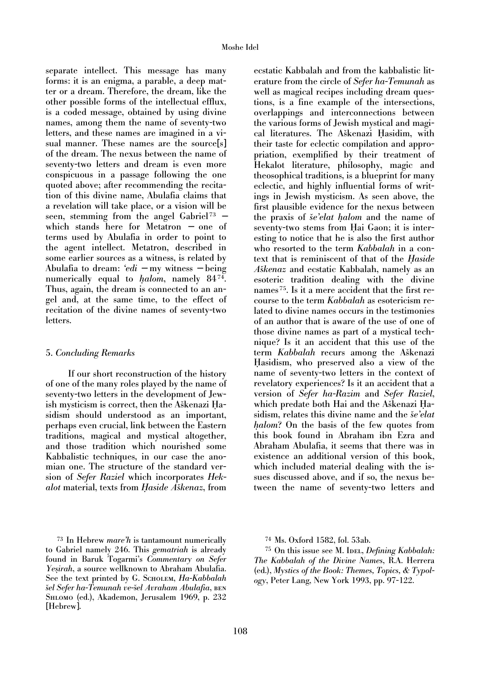separate intellect. This message has many forms: it is an enigma, a parable, a deep matter or a dream. Therefore, the dream, like the other possible forms of the intellectual efflux, is a coded message, obtained by using divine names, among them the name of seventy-two letters, and these names are imagined in a visual manner. These names are the source[s] of the dream. The nexus between the name of seventy-two letters and dream is even more conspicuous in a passage following the one quoted above; after recommending the recitation of this divine name, Abulafia claims that a revelation will take place, or a vision will be seen, stemming from the angel Gabriel<sup>73</sup> − which stands here for Metatron − one of terms used by Abulafia in order to point to the agent intellect. Metatron, described in some earlier sources as a witness, is related by Abulafia to dream: *'edi* − my witness − being numerically equal to *halom*, namely 8474. Thus, again, the dream is connected to an angel and, at the same time, to the effect of recitation of the divine names of seventy-two letters.

### 5. *Concluding Remarks*

If our short reconstruction of the history of one of the many roles played by the name of seventy-two letters in the development of Jewish mysticism is correct, then the Aškenazi Hasidism should understood as an important, perhaps even crucial, link between the Eastern traditions, magical and mystical altogether, and those tradition which nourished some Kabbalistic techniques, in our case the anomian one. The structure of the standard version of *Sefer Raziel* which incorporates *Hekalot* material, texts from *Haside Aškenaz*, from

<sup>73</sup> In Hebrew *mare'h* is tantamount numerically to Gabriel namely 246. This *gematriah* is already found in Baruk Togarmi's *Commentary on Sefer Yesirah*, a source wellknown to Abraham Abulafia. See the text printed by G. Scholem, *Ha-Kabbalah*  $\S$ *iel Sefer ha-Temunah ve-šel Avraham Abulafia*, bεn Shlomo (ed.), Akademon, Jerusalem 1969, p. 232 [Hebrew].

ecstatic Kabbalah and from the kabbalistic literature from the circle of *Sefer ha-Temunah* as well as magical recipes including dream questions, is a fine example of the intersections, overlappings and interconnections between the various forms of Jewish mystical and magical literatures. The Aškenazi Hasidim, with their taste for eclectic compilation and appropriation, exemplified by their treatment of Hekalot literature, philosophy, magic and theosophical traditions, is a blueprint for many eclectic, and highly influential forms of writings in Jewish mysticism. As seen above, the first plausible evidence for the nexus between the praxis of *še'elat halom* and the name of seventy-two stems from Hai Gaon; it is interesting to notice that he is also the first author who resorted to the term *Kabbalah* in a context that is reminiscent of that of the *H aside Aškenaz* and ecstatic Kabbalah, namely as an esoteric tradition dealing with the divine names 75. Is it a mere accident that the first recourse to the term *Kabbalah* as esotericism related to divine names occurs in the testimonies of an author that is aware of the use of one of those divine names as part of a mystical technique? Is it an accident that this use of the term *Kabbalah* recurs among the Aškenazi Hasidism, who preserved also a view of the name of seventy-two letters in the context of revelatory experiences? Is it an accident that a version of *Sefer ha-Razim* and *Sefer Raziel*, which predate both Hai and the Aškenazi Hasidism, relates this divine name and the *se'elat halom*? On the basis of the few quotes from this book found in Abraham ibn Ezra and Abraham Abulafia, it seems that there was in existence an additional version of this book, which included material dealing with the issues discussed above, and if so, the nexus between the name of seventy-two letters and

<sup>74</sup> Ms. Oxford 1582, fol. 53ab.

<sup>75</sup> On this issue see M. IDEL, *Defining Kabbalah: The Kabbalah of the Divine Names*, R.A. Herrera (ed.), *Mystics of the Book: Themes, Topics, & Typology*, Peter Lang, New York 1993, pp. 97-122.